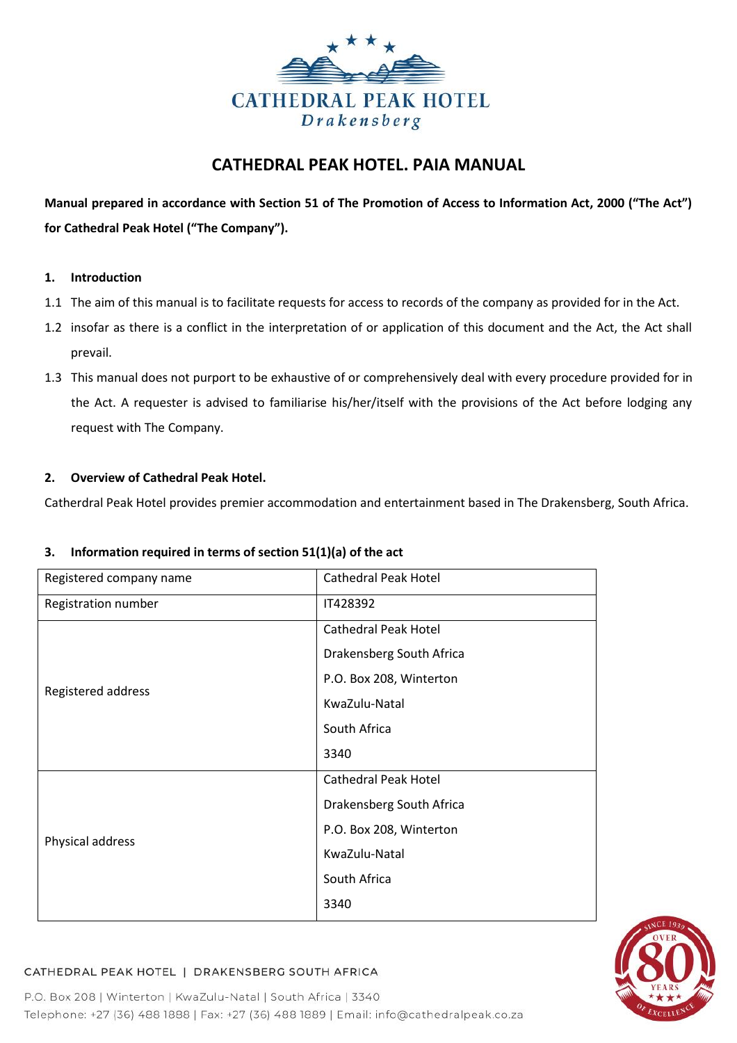

# **CATHEDRAL PEAK HOTEL. PAIA MANUAL**

**Manual prepared in accordance with Section 51 of The Promotion of Access to Information Act, 2000 ("The Act") for Cathedral Peak Hotel ("The Company").**

## **1. Introduction**

- 1.1 The aim of this manual is to facilitate requests for access to records of the company as provided for in the Act.
- 1.2 insofar as there is a conflict in the interpretation of or application of this document and the Act, the Act shall prevail.
- 1.3 This manual does not purport to be exhaustive of or comprehensively deal with every procedure provided for in the Act. A requester is advised to familiarise his/her/itself with the provisions of the Act before lodging any request with The Company.

## **2. Overview of Cathedral Peak Hotel.**

Catherdral Peak Hotel provides premier accommodation and entertainment based in The Drakensberg, South Africa.

## **3. Information required in terms of section 51(1)(a) of the act**

| Registered company name | <b>Cathedral Peak Hotel</b> |  |  |  |  |
|-------------------------|-----------------------------|--|--|--|--|
| Registration number     | IT428392                    |  |  |  |  |
|                         | <b>Cathedral Peak Hotel</b> |  |  |  |  |
|                         | Drakensberg South Africa    |  |  |  |  |
| Registered address      | P.O. Box 208, Winterton     |  |  |  |  |
|                         | KwaZulu-Natal               |  |  |  |  |
|                         | South Africa                |  |  |  |  |
|                         | 3340                        |  |  |  |  |
|                         | <b>Cathedral Peak Hotel</b> |  |  |  |  |
|                         | Drakensberg South Africa    |  |  |  |  |
| Physical address        | P.O. Box 208, Winterton     |  |  |  |  |
|                         | KwaZulu-Natal               |  |  |  |  |
|                         | South Africa                |  |  |  |  |
|                         | 3340                        |  |  |  |  |



# CATHEDRAL PEAK HOTEL | DRAKENSBERG SOUTH AFRICA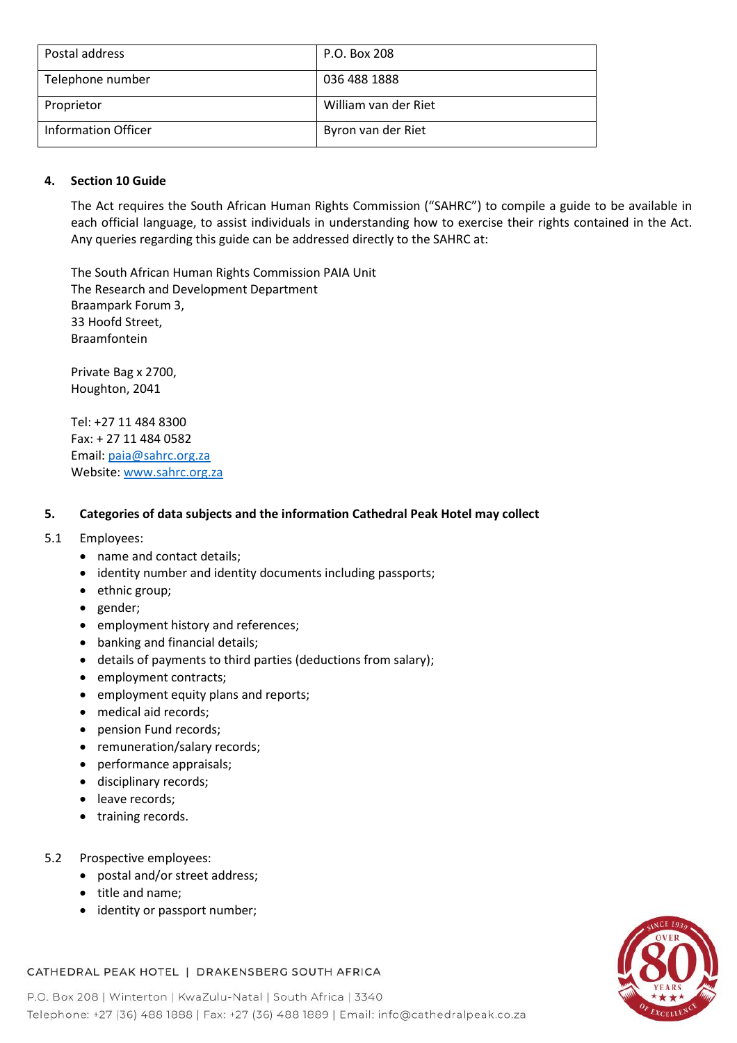| Postal address      | P.O. Box 208         |
|---------------------|----------------------|
| Telephone number    | 036 488 1888         |
| Proprietor          | William van der Riet |
| Information Officer | Byron van der Riet   |

## **4. Section 10 Guide**

The Act requires the South African Human Rights Commission ("SAHRC") to compile a guide to be available in each official language, to assist individuals in understanding how to exercise their rights contained in the Act. Any queries regarding this guide can be addressed directly to the SAHRC at:

The South African Human Rights Commission PAIA Unit The Research and Development Department Braampark Forum 3, 33 Hoofd Street, Braamfontein

Private Bag x 2700, Houghton, 2041

Tel: +27 11 484 8300 Fax: + 27 11 484 0582 Email: [paia@sahrc.org.za](mailto:paia@sahrc.org.za) Website: [www.sahrc.org.za](http://www.sahrc.org.za/)

## **5. Categories of data subjects and the information Cathedral Peak Hotel may collect**

## 5.1 Employees:

- name and contact details;
- identity number and identity documents including passports;
- ethnic group;
- gender;
- employment history and references;
- banking and financial details;
- details of payments to third parties (deductions from salary);
- employment contracts;
- employment equity plans and reports;
- medical aid records;
- pension Fund records;
- remuneration/salary records;
- performance appraisals;
- disciplinary records;
- leave records;
- training records.

## 5.2 Prospective employees:

- postal and/or street address;
- title and name;
- identity or passport number;



## CATHEDRAL PEAK HOTEL | DRAKENSBERG SOUTH AFRICA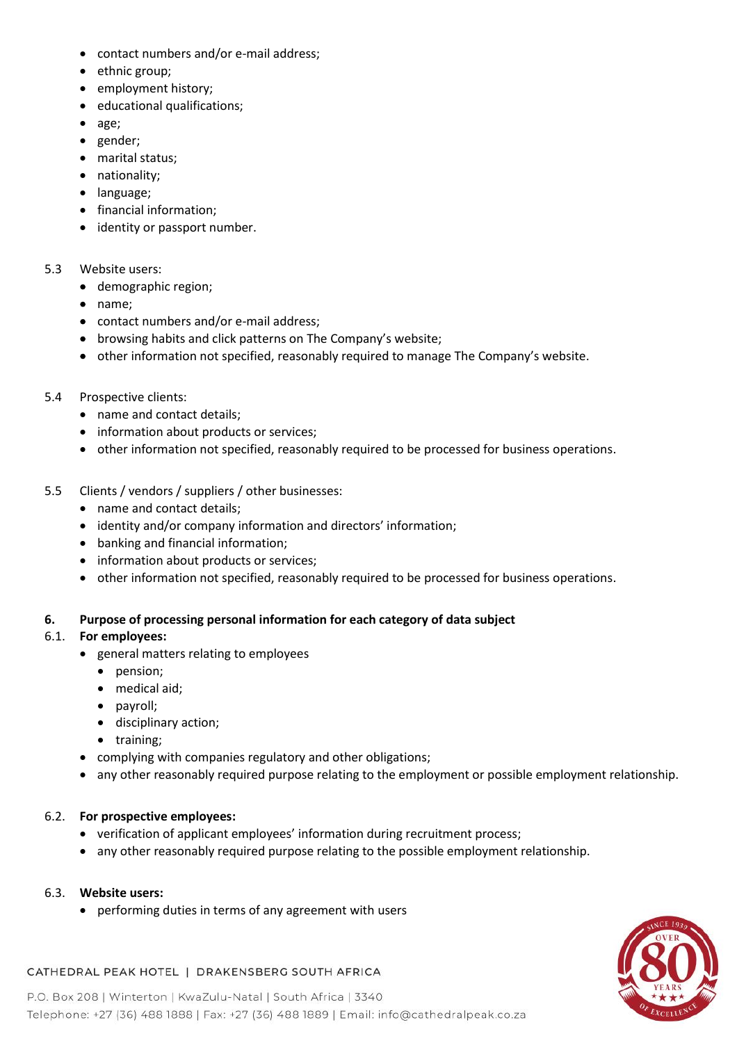- contact numbers and/or e-mail address;
- ethnic group;
- employment history;
- educational qualifications;
- age;
- gender;
- marital status;
- nationality;
- language;
- financial information;
- identity or passport number.

# 5.3 Website users:

- demographic region;
- name;
- contact numbers and/or e-mail address;
- browsing habits and click patterns on The Company's website;
- other information not specified, reasonably required to manage The Company's website.
- 5.4 Prospective clients:
	- name and contact details;
	- information about products or services;
	- other information not specified, reasonably required to be processed for business operations.
- 5.5 Clients / vendors / suppliers / other businesses:
	- name and contact details;
	- identity and/or company information and directors' information;
	- banking and financial information;
	- information about products or services;
	- other information not specified, reasonably required to be processed for business operations.

# **6. Purpose of processing personal information for each category of data subject**

# 6.1. **For employees:**

- general matters relating to employees
	- pension;
	- medical aid;
	- payroll;
	- disciplinary action;
	- training;
- complying with companies regulatory and other obligations;
- any other reasonably required purpose relating to the employment or possible employment relationship.

# 6.2. **For prospective employees:**

- verification of applicant employees' information during recruitment process;
- any other reasonably required purpose relating to the possible employment relationship.

# 6.3. **Website users:**

• performing duties in terms of any agreement with users



# CATHEDRAL PEAK HOTEL | DRAKENSBERG SOUTH AFRICA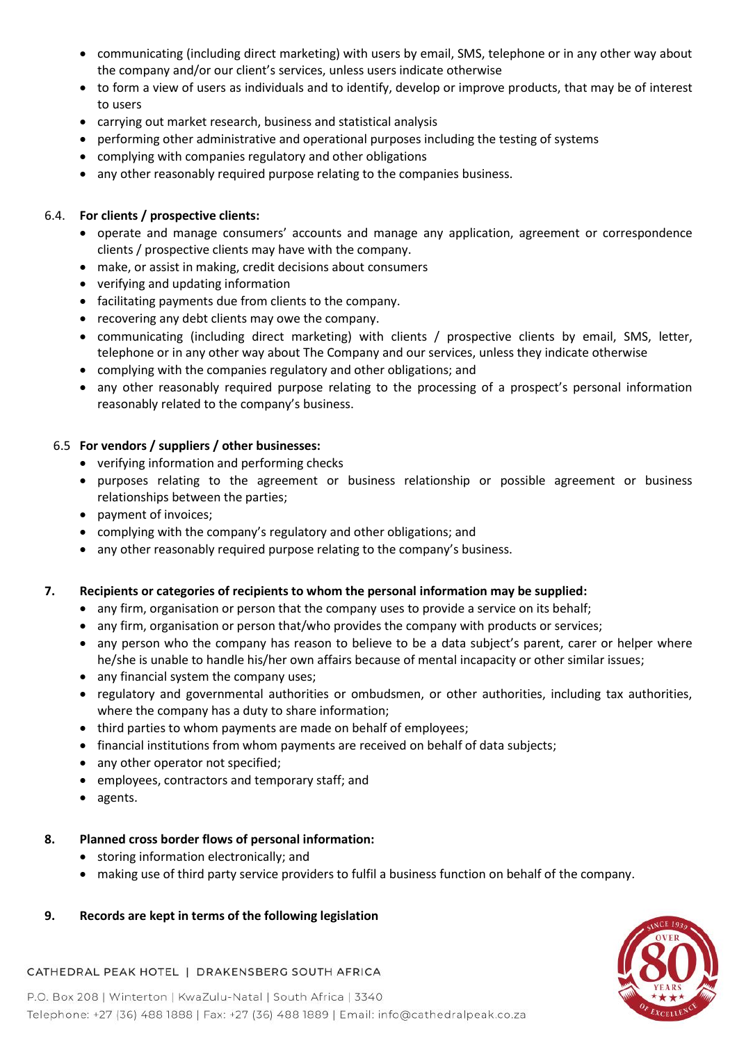- communicating (including direct marketing) with users by email, SMS, telephone or in any other way about the company and/or our client's services, unless users indicate otherwise
- to form a view of users as individuals and to identify, develop or improve products, that may be of interest to users
- carrying out market research, business and statistical analysis
- performing other administrative and operational purposes including the testing of systems
- complying with companies regulatory and other obligations
- any other reasonably required purpose relating to the companies business.

# 6.4. **For clients / prospective clients:**

- operate and manage consumers' accounts and manage any application, agreement or correspondence clients / prospective clients may have with the company.
- make, or assist in making, credit decisions about consumers
- verifying and updating information
- facilitating payments due from clients to the company.
- recovering any debt clients may owe the company.
- communicating (including direct marketing) with clients / prospective clients by email, SMS, letter, telephone or in any other way about The Company and our services, unless they indicate otherwise
- complying with the companies regulatory and other obligations; and
- any other reasonably required purpose relating to the processing of a prospect's personal information reasonably related to the company's business.

# 6.5 **For vendors / suppliers / other businesses:**

- verifying information and performing checks
- purposes relating to the agreement or business relationship or possible agreement or business relationships between the parties;
- payment of invoices;
- complying with the company's regulatory and other obligations; and
- any other reasonably required purpose relating to the company's business.

# **7. Recipients or categories of recipients to whom the personal information may be supplied:**

- any firm, organisation or person that the company uses to provide a service on its behalf;
- any firm, organisation or person that/who provides the company with products or services;
- any person who the company has reason to believe to be a data subject's parent, carer or helper where he/she is unable to handle his/her own affairs because of mental incapacity or other similar issues;
- any financial system the company uses;
- regulatory and governmental authorities or ombudsmen, or other authorities, including tax authorities, where the company has a duty to share information;
- third parties to whom payments are made on behalf of employees;
- financial institutions from whom payments are received on behalf of data subjects;
- any other operator not specified;
- employees, contractors and temporary staff; and
- agents.

# **8. Planned cross border flows of personal information:**

- storing information electronically; and
- making use of third party service providers to fulfil a business function on behalf of the company.

# **9. Records are kept in terms of the following legislation**



# CATHEDRAL PEAK HOTEL | DRAKENSBERG SOUTH AFRICA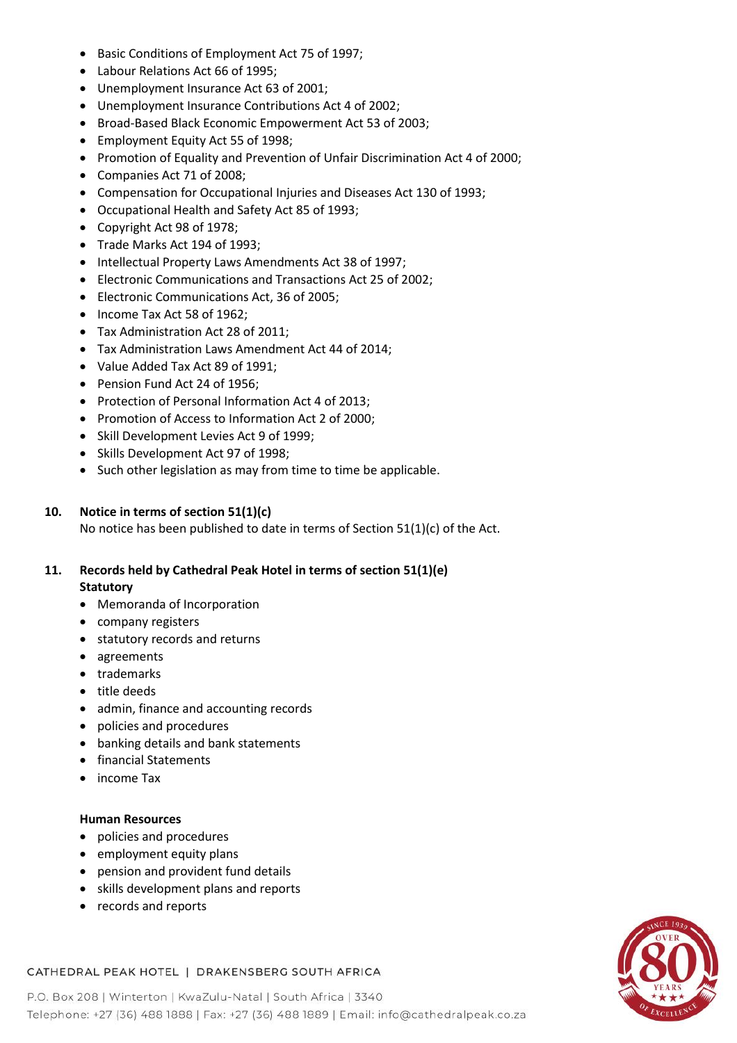- Basic Conditions of Employment Act 75 of 1997;
- Labour Relations Act 66 of 1995;
- Unemployment Insurance Act 63 of 2001;
- Unemployment Insurance Contributions Act 4 of 2002;
- Broad-Based Black Economic Empowerment Act 53 of 2003;
- Employment Equity Act 55 of 1998;
- Promotion of Equality and Prevention of Unfair Discrimination Act 4 of 2000;
- Companies Act 71 of 2008;
- Compensation for Occupational Injuries and Diseases Act 130 of 1993;
- Occupational Health and Safety Act 85 of 1993;
- Copyright Act 98 of 1978;
- Trade Marks Act 194 of 1993;
- Intellectual Property Laws Amendments Act 38 of 1997;
- Electronic Communications and Transactions Act 25 of 2002;
- Electronic Communications Act, 36 of 2005;
- Income Tax Act 58 of 1962;
- Tax Administration Act 28 of 2011;
- Tax Administration Laws Amendment Act 44 of 2014;
- Value Added Tax Act 89 of 1991;
- Pension Fund Act 24 of 1956;
- Protection of Personal Information Act 4 of 2013;
- Promotion of Access to Information Act 2 of 2000;
- Skill Development Levies Act 9 of 1999;
- Skills Development Act 97 of 1998;
- Such other legislation as may from time to time be applicable.

## **10. Notice in terms of section 51(1)(c)**

No notice has been published to date in terms of Section 51(1)(c) of the Act.

## **11. Records held by Cathedral Peak Hotel in terms of section 51(1)(e) Statutory**

- Memoranda of Incorporation
- company registers
- statutory records and returns
- agreements
- trademarks
- title deeds
- admin, finance and accounting records
- policies and procedures
- banking details and bank statements
- financial Statements
- income Tax

## **Human Resources**

- policies and procedures
- employment equity plans
- pension and provident fund details
- skills development plans and reports
- records and reports



# CATHEDRAL PEAK HOTEL | DRAKENSBERG SOUTH AFRICA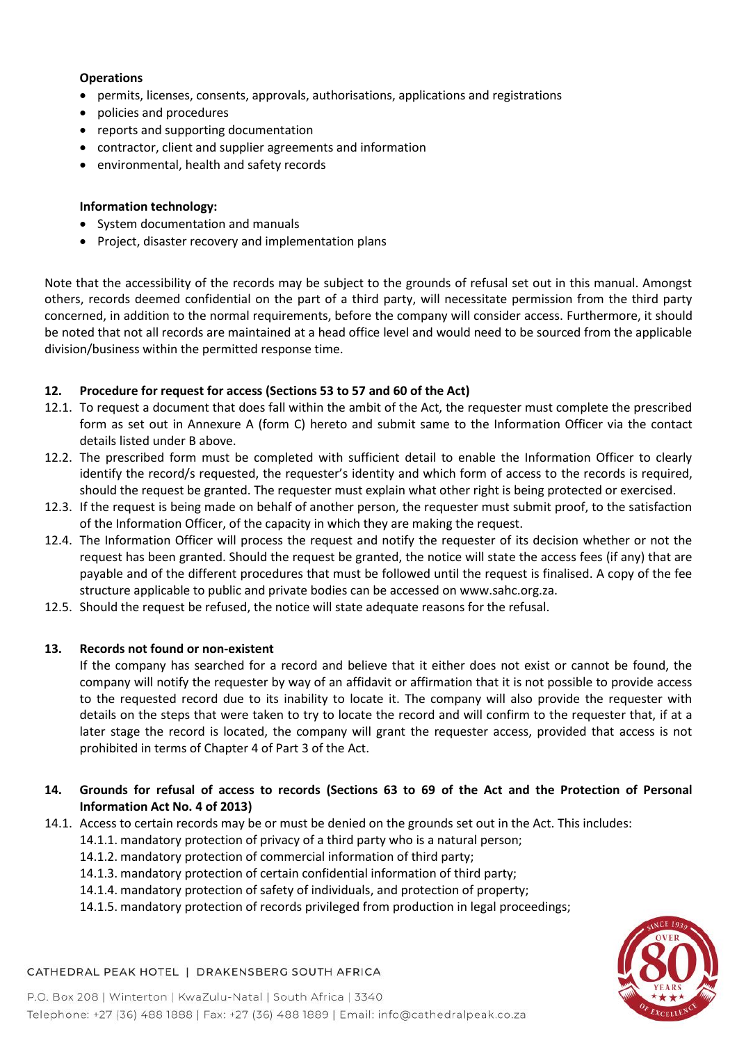## **Operations**

- permits, licenses, consents, approvals, authorisations, applications and registrations
- policies and procedures
- reports and supporting documentation
- contractor, client and supplier agreements and information
- environmental, health and safety records

## **Information technology:**

- System documentation and manuals
- Project, disaster recovery and implementation plans

Note that the accessibility of the records may be subject to the grounds of refusal set out in this manual. Amongst others, records deemed confidential on the part of a third party, will necessitate permission from the third party concerned, in addition to the normal requirements, before the company will consider access. Furthermore, it should be noted that not all records are maintained at a head office level and would need to be sourced from the applicable division/business within the permitted response time.

## **12. Procedure for request for access (Sections 53 to 57 and 60 of the Act)**

- 12.1. To request a document that does fall within the ambit of the Act, the requester must complete the prescribed form as set out in Annexure A (form C) hereto and submit same to the Information Officer via the contact details listed under B above.
- 12.2. The prescribed form must be completed with sufficient detail to enable the Information Officer to clearly identify the record/s requested, the requester's identity and which form of access to the records is required, should the request be granted. The requester must explain what other right is being protected or exercised.
- 12.3. If the request is being made on behalf of another person, the requester must submit proof, to the satisfaction of the Information Officer, of the capacity in which they are making the request.
- 12.4. The Information Officer will process the request and notify the requester of its decision whether or not the request has been granted. Should the request be granted, the notice will state the access fees (if any) that are payable and of the different procedures that must be followed until the request is finalised. A copy of the fee structure applicable to public and private bodies can be accessed on www.sahc.org.za.
- 12.5. Should the request be refused, the notice will state adequate reasons for the refusal.

## **13. Records not found or non-existent**

If the company has searched for a record and believe that it either does not exist or cannot be found, the company will notify the requester by way of an affidavit or affirmation that it is not possible to provide access to the requested record due to its inability to locate it. The company will also provide the requester with details on the steps that were taken to try to locate the record and will confirm to the requester that, if at a later stage the record is located, the company will grant the requester access, provided that access is not prohibited in terms of Chapter 4 of Part 3 of the Act.

- **14. Grounds for refusal of access to records (Sections 63 to 69 of the Act and the Protection of Personal Information Act No. 4 of 2013)**
- 14.1. Access to certain records may be or must be denied on the grounds set out in the Act. This includes:
	- 14.1.1. mandatory protection of privacy of a third party who is a natural person;
	- 14.1.2. mandatory protection of commercial information of third party;
	- 14.1.3. mandatory protection of certain confidential information of third party;
	- 14.1.4. mandatory protection of safety of individuals, and protection of property;
	- 14.1.5. mandatory protection of records privileged from production in legal proceedings;



# CATHEDRAL PEAK HOTEL | DRAKENSBERG SOUTH AFRICA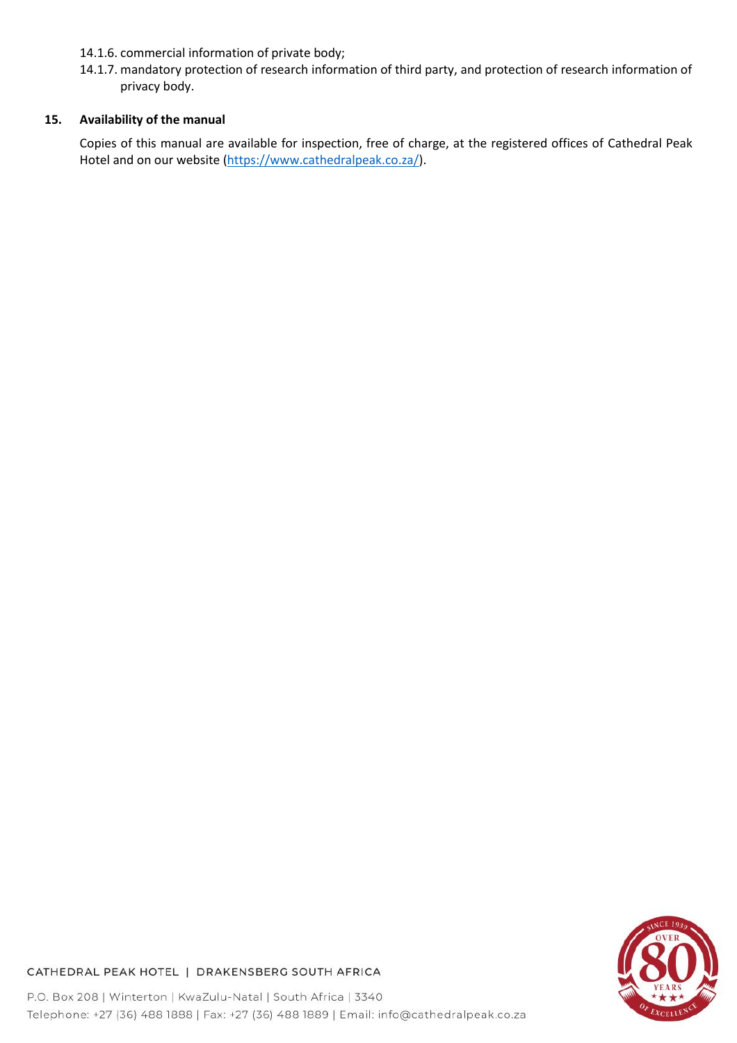- 14.1.6. commercial information of private body;
- 14.1.7. mandatory protection of research information of third party, and protection of research information of privacy body.

## **15. Availability of the manual**

Copies of this manual are available for inspection, free of charge, at the registered offices of Cathedral Peak Hotel and on our website [\(https://www.cathedralpeak.co.za/\)](https://www.cathedralpeak.co.za/).



# CATHEDRAL PEAK HOTEL | DRAKENSBERG SOUTH AFRICA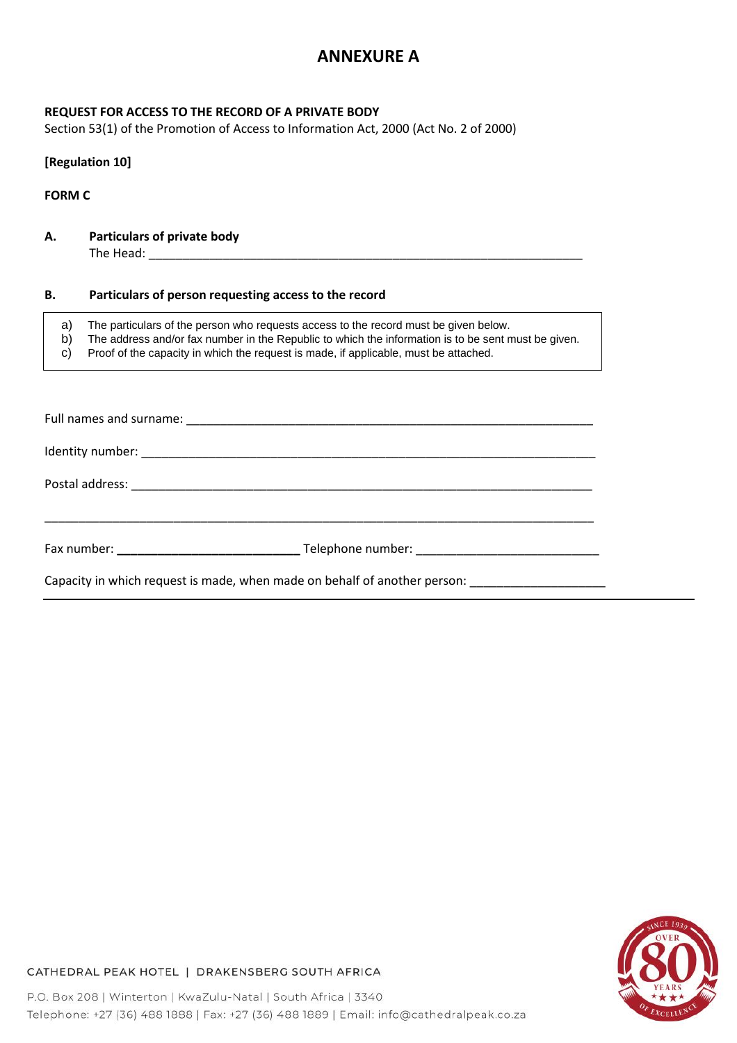# **ANNEXURE A**

## **REQUEST FOR ACCESS TO THE RECORD OF A PRIVATE BODY**

Section 53(1) of the Promotion of Access to Information Act, 2000 (Act No. 2 of 2000)

## **[Regulation 10]**

**FORM C**

**A. Particulars of private body**  The Head: \_\_\_\_\_\_\_\_\_\_\_\_\_\_\_\_\_\_\_\_\_\_\_\_\_\_\_\_\_\_\_\_\_\_\_\_\_\_\_\_\_\_\_\_\_\_\_\_\_\_\_\_\_\_\_\_\_\_\_\_\_\_\_\_

#### **B. Particulars of person requesting access to the record**

a) The particulars of the person who requests access to the record must be given below.<br>b) The address and/or fax number in the Republic to which the information is to be sent m The address and/or fax number in the Republic to which the information is to be sent must be given. c) Proof of the capacity in which the request is made, if applicable, must be attached.

| Capacity in which request is made, when made on behalf of another person: ______________ |  |
|------------------------------------------------------------------------------------------|--|



CATHEDRAL PEAK HOTEL | DRAKENSBERG SOUTH AFRICA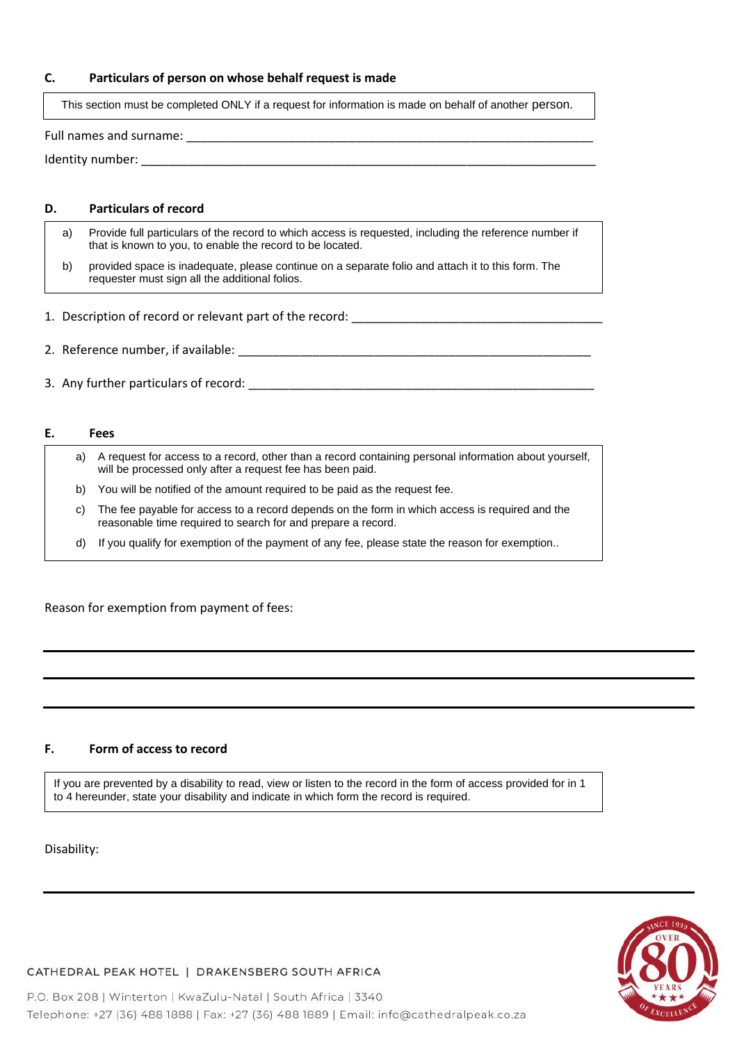#### **C. Particulars of person on whose behalf request is made**

This section must be completed ONLY if a request for information is made on behalf of another person.

Full names and surname: \_\_\_\_\_\_\_\_\_\_\_\_\_\_\_\_\_\_\_\_\_\_\_\_\_\_\_\_\_\_\_\_\_\_\_\_\_\_\_\_\_\_\_\_\_\_\_\_\_\_\_\_\_\_\_\_\_\_\_\_

Identity number:

#### **D. Particulars of record**

- a) Provide full particulars of the record to which access is requested, including the reference number if that is known to you, to enable the record to be located.
	- b) provided space is inadequate, please continue on a separate folio and attach it to this form. The requester must sign all the additional folios.
- 1. Description of record or relevant part of the record: \_\_\_\_\_\_\_\_\_\_\_\_\_\_\_\_\_\_\_\_\_\_\_
- 2. Reference number, if available:  $\overline{a}$
- 3. Any further particulars of record:  $\blacksquare$

#### **E. Fees**

- a) A request for access to a record, other than a record containing personal information about yourself, will be processed only after a request fee has been paid. b) You will be notified of the amount required to be paid as the request fee. c) The fee payable for access to a record depends on the form in which access is required and the reasonable time required to search for and prepare a record.
	- d) If you qualify for exemption of the payment of any fee, please state the reason for exemption..

Reason for exemption from payment of fees:

#### **F. Form of access to record**

If you are prevented by a disability to read, view or listen to the record in the form of access provided for in 1 to 4 hereunder, state your disability and indicate in which form the record is required.

Disability:



## CATHEDRAL PEAK HOTEL | DRAKENSBERG SOUTH AFRICA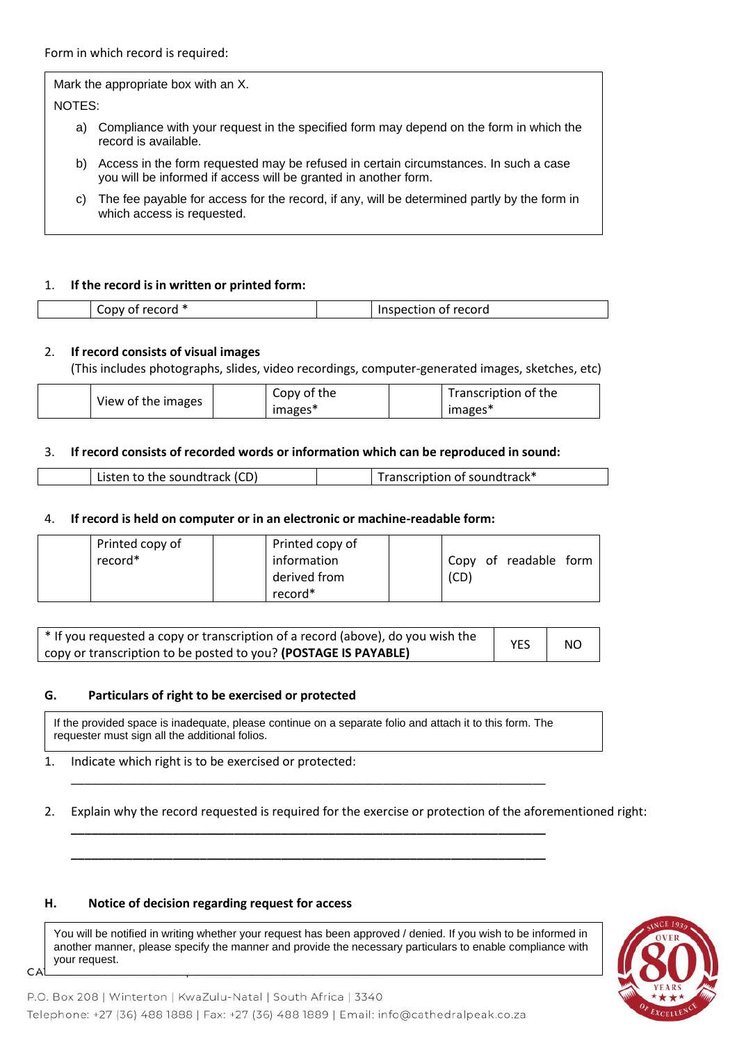Form in which record is required:

Mark the appropriate box with an X. NOTES: a) Compliance with your request in the specified form may depend on the form in which the record is available. b) Access in the form requested may be refused in certain circumstances. In such a case you will be informed if access will be granted in another form. c) The fee payable for access for the record, if any, will be determined partly by the form in

## 1. **If the record is in written or printed form:**

which access is requested.

| - | cord<br>nμ<br>. .<br>. |
|---|------------------------|
|   |                        |

#### 2. **If record consists of visual images**

(This includes photographs, slides, video recordings, computer-generated images, sketches, etc)

|                    | Copy of the | Transcription of the |
|--------------------|-------------|----------------------|
| View of the images | images*     | images*              |

#### 3. **If record consists of recorded words or information which can be reproduced in sound:**

|  |  | to the soundtrack (CD)<br>ictan |  | ription of soundtrack* |
|--|--|---------------------------------|--|------------------------|
|--|--|---------------------------------|--|------------------------|

#### 4. **If record is held on computer or in an electronic or machine-readable form:**

|         | Printed copy of | Printed copy of |      |                       |  |
|---------|-----------------|-----------------|------|-----------------------|--|
| record* |                 | information     |      | Copy of readable form |  |
|         |                 | derived from    | (CD) |                       |  |
|         |                 | record*         |      |                       |  |

| * If you requested a copy or transcription of a record (above), do you wish the | <b>YES</b> | NO. |
|---------------------------------------------------------------------------------|------------|-----|
| copy or transcription to be posted to you? (POSTAGE IS PAYABLE)                 |            |     |

#### **G. Particulars of right to be exercised or protected**

If the provided space is inadequate, please continue on a separate folio and attach it to this form. The requester must sign all the additional folios.

\_\_\_\_\_\_\_\_\_\_\_\_\_\_\_\_\_\_\_\_\_\_\_\_\_\_\_\_\_\_\_\_\_\_\_\_\_\_\_\_\_\_\_\_\_\_\_\_\_\_\_\_\_\_\_\_\_\_\_\_\_\_\_\_\_\_\_\_\_\_

**\_\_\_\_\_\_\_\_\_\_\_\_\_\_\_\_\_\_\_\_\_\_\_\_\_\_\_\_\_\_\_\_\_\_\_\_\_\_\_\_\_\_\_\_\_\_\_\_\_\_\_\_\_\_\_\_\_\_\_\_\_\_\_\_\_\_\_\_\_\_**

**\_\_\_\_\_\_\_\_\_\_\_\_\_\_\_\_\_\_\_\_\_\_\_\_\_\_\_\_\_\_\_\_\_\_\_\_\_\_\_\_\_\_\_\_\_\_\_\_\_\_\_\_\_\_\_\_\_\_\_\_\_\_\_\_\_\_\_\_\_\_**

#### 1. Indicate which right is to be exercised or protected:

#### 2. Explain why the record requested is required for the exercise or protection of the aforementioned right:

#### **H. Notice of decision regarding request for access**

CA

You will be notified in writing whether your request has been approved / denied. If you wish to be informed in another manner, please specify the manner and provide the necessary particulars to enable compliance with your request.